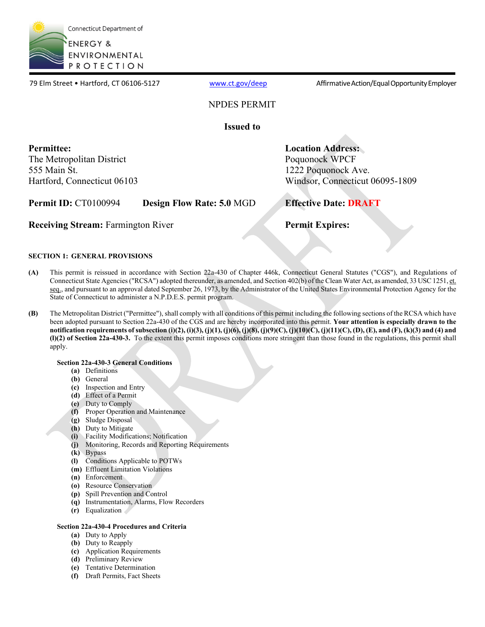

79 Elm Street • Hartford, CT 06106-5127 [www.ct.gov/deep](http://www.ct.gov/deep) Affirmative Action/Equal Opportunity Employer

## NPDES PERMIT

**Issued to**

**Permittee:**  The Metropolitan District 555 Main St. Hartford, Connecticut 06103 **Location Address:** Poquonock WPCF 1222 Poquonock Ave. Windsor, Connecticut 06095-1809

**Permit ID:** CT0100994 **Design Flow Rate: 5.0** MGD **Effective Date: DRAFT**

**Receiving Stream:** Farmington River **Permit Expires:** 

### **SECTION 1: GENERAL PROVISIONS**

- **(A)** This permit is reissued in accordance with Section 22a-430 of Chapter 446k, Connecticut General Statutes ("CGS"), and Regulations of Connecticut State Agencies ("RCSA") adopted thereunder, as amended, and Section 402(b) of the Clean Water Act, as amended, 33 USC 1251, et. seq., and pursuant to an approval dated September 26, 1973, by the Administrator of the United States Environmental Protection Agency for the State of Connecticut to administer a N.P.D.E.S. permit program.
- **(B)** The Metropolitan District ("Permittee"), shall comply with all conditions of this permit including the following sections of the RCSA which have been adopted pursuant to Section 22a-430 of the CGS and are hereby incorporated into this permit. **Your attention is especially drawn to the notification requirements of subsection (i)(2), (i)(3), (j)(1), (j)(6), (j)(8), (j)(9)(C), (j)(10)(C), (j)(11)(C), (D), (E), and (F), (k)(3) and (4) and (l)(2) of Section 22a-430-3.** To the extent this permit imposes conditions more stringent than those found in the regulations, this permit shall apply.

### **Section 22a-430-3 General Conditions**

- **(a)** Definitions
- **(b)** General
- **(c)** Inspection and Entry
- **(d)** Effect of a Permit
- **(e)** Duty to Comply
- **(f)** Proper Operation and Maintenance
- **(g)** Sludge Disposal
- **(h)** Duty to Mitigate
- **(i)** Facility Modifications; Notification
- **(j)** Monitoring, Records and Reporting Requirements
- **(k)** Bypass
- **(l)** Conditions Applicable to POTWs
- **(m)** Effluent Limitation Violations
- **(n)** Enforcement
- **(o)** Resource Conservation
- **(p)** Spill Prevention and Control
- **(q)** Instrumentation, Alarms, Flow Recorders
- **(r)** Equalization

### **Section 22a-430-4 Procedures and Criteria**

- **(a)** Duty to Apply
- **(b)** Duty to Reapply
- **(c)** Application Requirements
- **(d)** Preliminary Review
- **(e)** Tentative Determination
- **(f)** Draft Permits, Fact Sheets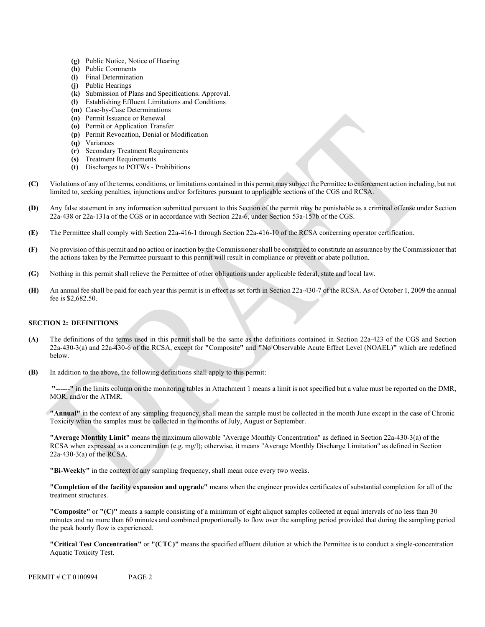- **(g)** Public Notice, Notice of Hearing
- **(h)** Public Comments
- **(i)** Final Determination
- **(j)** Public Hearings
- **(k)** Submission of Plans and Specifications. Approval.
- **(l)** Establishing Effluent Limitations and Conditions
- **(m)** Case-by-Case Determinations
- **(n)** Permit Issuance or Renewal
- **(o)** Permit or Application Transfer
- **(p)** Permit Revocation, Denial or Modification
- **(q)** Variances
- **(r)** Secondary Treatment Requirements
- **(s)** Treatment Requirements
- **(t)** Discharges to POTWs Prohibitions
- **(C)** Violations of any of the terms, conditions, or limitations contained in this permit may subject the Permittee to enforcement action including, but not limited to, seeking penalties, injunctions and/or forfeitures pursuant to applicable sections of the CGS and RCSA.
- **(D)** Any false statement in any information submitted pursuant to this Section of the permit may be punishable as a criminal offense under Section 22a-438 or 22a-131a of the CGS or in accordance with Section 22a-6, under Section 53a-157b of the CGS.
- **(E)** The Permittee shall comply with Section 22a-416-1 through Section 22a-416-10 of the RCSA concerning operator certification.
- **(F)** No provision of this permit and no action or inaction by the Commissioner shall be construed to constitute an assurance by the Commissioner that the actions taken by the Permittee pursuant to this permit will result in compliance or prevent or abate pollution.
- **(G)** Nothing in this permit shall relieve the Permittee of other obligations under applicable federal, state and local law.
- **(H)** An annual fee shall be paid for each year this permit is in effect as set forth in Section 22a-430-7 of the RCSA. As of October 1, 2009 the annual fee is \$2,682.50.

### **SECTION 2: DEFINITIONS**

- **(A)** The definitions of the terms used in this permit shall be the same as the definitions contained in Section 22a-423 of the CGS and Section 22a-430-3(a) and 22a-430-6 of the RCSA, except for **"**Composite**"** and **"**No Observable Acute Effect Level (NOAEL)**"** which are redefined below.
- **(B)** In addition to the above, the following definitions shall apply to this permit:

-" in the limits column on the monitoring tables in Attachment 1 means a limit is not specified but a value must be reported on the DMR, MOR, and/or the ATMR.

**"Annual"** in the context of any sampling frequency, shall mean the sample must be collected in the month June except in the case of Chronic Toxicity when the samples must be collected in the months of July, August or September.

**"Average Monthly Limit"** means the maximum allowable "Average Monthly Concentration" as defined in Section 22a-430-3(a) of the RCSA when expressed as a concentration (e.g. mg/l); otherwise, it means "Average Monthly Discharge Limitation" as defined in Section 22a-430-3(a) of the RCSA.

**"Bi-Weekly"** in the context of any sampling frequency, shall mean once every two weeks.

**"Completion of the facility expansion and upgrade"** means when the engineer provides certificates of substantial completion for all of the treatment structures.

**"Composite"** or **"(C)"** means a sample consisting of a minimum of eight aliquot samples collected at equal intervals of no less than 30 minutes and no more than 60 minutes and combined proportionally to flow over the sampling period provided that during the sampling period the peak hourly flow is experienced.

**"Critical Test Concentration"** or **"(CTC)"** means the specified effluent dilution at which the Permittee is to conduct a single-concentration Aquatic Toxicity Test.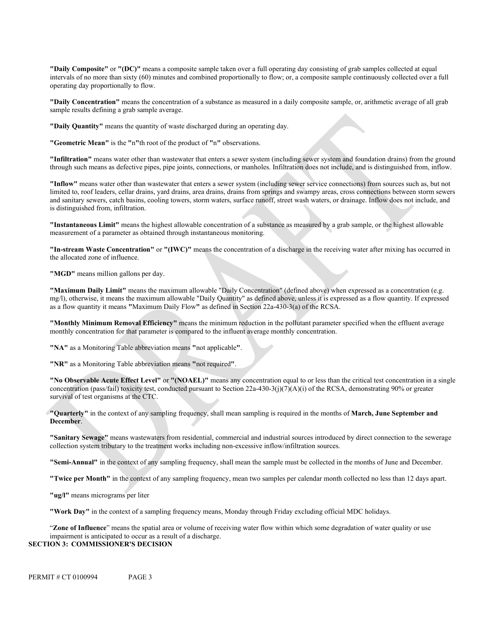**"Daily Composite"** or **"(DC)"** means a composite sample taken over a full operating day consisting of grab samples collected at equal intervals of no more than sixty (60) minutes and combined proportionally to flow; or, a composite sample continuously collected over a full operating day proportionally to flow.

**"Daily Concentration"** means the concentration of a substance as measured in a daily composite sample, or, arithmetic average of all grab sample results defining a grab sample average.

**"Daily Quantity"** means the quantity of waste discharged during an operating day.

**"Geometric Mean"** is the **"**n**"**th root of the product of **"**n**"** observations.

**"Infiltration"** means water other than wastewater that enters a sewer system (including sewer system and foundation drains) from the ground through such means as defective pipes, pipe joints, connections, or manholes. Infiltration does not include, and is distinguished from, inflow.

**"Inflow"** means water other than wastewater that enters a sewer system (including sewer service connections) from sources such as, but not limited to, roof leaders, cellar drains, yard drains, area drains, drains from springs and swampy areas, cross connections between storm sewers and sanitary sewers, catch basins, cooling towers, storm waters, surface runoff, street wash waters, or drainage. Inflow does not include, and is distinguished from, infiltration.

**"Instantaneous Limit"** means the highest allowable concentration of a substance as measured by a grab sample, or the highest allowable measurement of a parameter as obtained through instantaneous monitoring.

**"In-stream Waste Concentration"** or **"(IWC)"** means the concentration of a discharge in the receiving water after mixing has occurred in the allocated zone of influence.

**"MGD"** means million gallons per day.

**"Maximum Daily Limit"** means the maximum allowable "Daily Concentration" (defined above) when expressed as a concentration (e.g. mg/l), otherwise, it means the maximum allowable "Daily Quantity" as defined above, unless it is expressed as a flow quantity. If expressed as a flow quantity it means **"**Maximum Daily Flow**"** as defined in Section 22a-430-3(a) of the RCSA.

 **"Monthly Minimum Removal Efficiency"** means the minimum reduction in the pollutant parameter specified when the effluent average monthly concentration for that parameter is compared to the influent average monthly concentration.

**"NA"** as a Monitoring Table abbreviation means **"**not applicable**"**.

**"NR"** as a Monitoring Table abbreviation means **"**not required**"**.

**"No Observable Acute Effect Level"** or **"(NOAEL)"** means any concentration equal to or less than the critical test concentration in a single concentration (pass/fail) toxicity test, conducted pursuant to Section  $22a-430-3(j)(7)(A)(i)$  of the RCSA, demonstrating 90% or greater survival of test organisms at the CTC.

**"Quarterly"** in the context of any sampling frequency, shall mean sampling is required in the months of **March, June September and December**.

**"Sanitary Sewage"** means wastewaters from residential, commercial and industrial sources introduced by direct connection to the sewerage collection system tributary to the treatment works including non-excessive inflow/infiltration sources.

**"Semi-Annual"** in the context of any sampling frequency, shall mean the sample must be collected in the months of June and December.

**"Twice per Month"** in the context of any sampling frequency, mean two samples per calendar month collected no less than 12 days apart.

**"ug/l"** means micrograms per liter

**"Work Day"** in the context of a sampling frequency means, Monday through Friday excluding official MDC holidays.

"**Zone of Influence**" means the spatial area or volume of receiving water flow within which some degradation of water quality or use impairment is anticipated to occur as a result of a discharge.

### **SECTION 3: COMMISSIONER'S DECISION**

PERMIT # CT 0100994 PAGE 3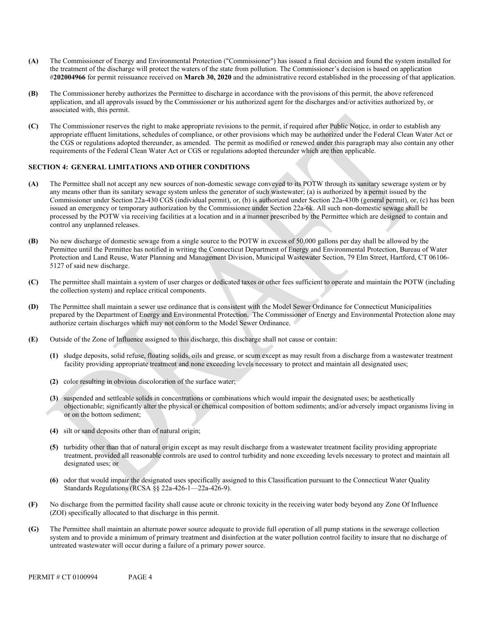- **(A)** The Commissioner of Energy and Environmental Protection ("Commissioner") has issued a final decision and found **t**he system installed for the treatment of the discharge will protect the waters of the state from pollution. The Commissioner's decision is based on application #**202004966** for permit reissuance received on **March 30, 2020** and the administrative record established in the processing of that application.
- **(B)** The Commissioner hereby authorizes the Permittee to discharge in accordance with the provisions of this permit, the above referenced application, and all approvals issued by the Commissioner or his authorized agent for the discharges and/or activities authorized by, or associated with, this permit.
- **(C)** The Commissioner reserves the right to make appropriate revisions to the permit, if required after Public Notice, in order to establish any appropriate effluent limitations, schedules of compliance, or other provisions which may be authorized under the Federal Clean Water Act or the CGS or regulations adopted thereunder, as amended. The permit as modified or renewed under this paragraph may also contain any other requirements of the Federal Clean Water Act or CGS or regulations adopted thereunder which are then applicable.

### **SECTION 4: GENERAL LIMITATIONS AND OTHER CONDITIONS**

- **(A)** The Permittee shall not accept any new sources of non-domestic sewage conveyed to its POTW through its sanitary sewerage system or by any means other than its sanitary sewage system unless the generator of such wastewater; (a) is authorized by a permit issued by the Commissioner under Section 22a-430 CGS (individual permit), or, (b) is authorized under Section 22a-430b (general permit), or, (c) has been issued an emergency or temporary authorization by the Commissioner under Section 22a-6k. All such non-domestic sewage shall be processed by the POTW via receiving facilities at a location and in a manner prescribed by the Permittee which are designed to contain and control any unplanned releases.
- **(B)** No new discharge of domestic sewage from a single source to the POTW in excess of 50,000 gallons per day shall be allowed by the Permittee until the Permittee has notified in writing the Connecticut Department of Energy and Environmental Protection, Bureau of Water Protection and Land Reuse, Water Planning and Management Division, Municipal Wastewater Section, 79 Elm Street, Hartford, CT 06106- 5127 of said new discharge.
- **(C)** The permittee shall maintain a system of user charges or dedicated taxes or other fees sufficient to operate and maintain the POTW (including the collection system) and replace critical components.
- **(D)** The Permittee shall maintain a sewer use ordinance that is consistent with the Model Sewer Ordinance for Connecticut Municipalities prepared by the Department of Energy and Environmental Protection. The Commissioner of Energy and Environmental Protection alone may authorize certain discharges which may not conform to the Model Sewer Ordinance.
- **(E)** Outside of the Zone of Influence assigned to this discharge, this discharge shall not cause or contain:
	- **(1)** sludge deposits, solid refuse, floating solids, oils and grease, or scum except as may result from a discharge from a wastewater treatment facility providing appropriate treatment and none exceeding levels necessary to protect and maintain all designated uses;
	- **(2)** color resulting in obvious discoloration of the surface water;
	- **(3)** suspended and settleable solids in concentrations or combinations which would impair the designated uses; be aesthetically objectionable; significantly alter the physical or chemical composition of bottom sediments; and/or adversely impact organisms living in or on the bottom sediment;
	- **(4)** silt or sand deposits other than of natural origin;
	- **(5)** turbidity other than that of natural origin except as may result discharge from a wastewater treatment facility providing appropriate treatment, provided all reasonable controls are used to control turbidity and none exceeding levels necessary to protect and maintain all designated uses; or
	- **(6)** odor that would impair the designated uses specifically assigned to this Classification pursuant to the Connecticut Water Quality Standards Regulations (RCSA §§ 22a-426-1—22a-426-9).
- **(F)** No discharge from the permitted facility shall cause acute or chronic toxicity in the receiving water body beyond any Zone Of Influence (ZOI) specifically allocated to that discharge in this permit.
- **(G)** The Permittee shall maintain an alternate power source adequate to provide full operation of all pump stations in the sewerage collection system and to provide a minimum of primary treatment and disinfection at the water pollution control facility to insure that no discharge of untreated wastewater will occur during a failure of a primary power source.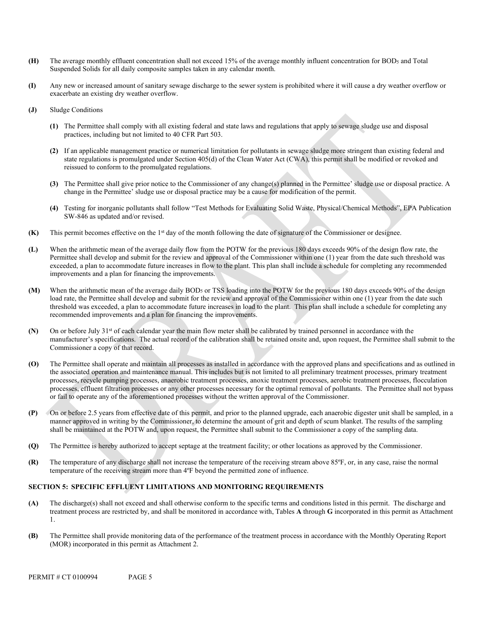- **(H)** The average monthly effluent concentration shall not exceed 15% of the average monthly influent concentration for BOD5 and Total Suspended Solids for all daily composite samples taken in any calendar month.
- **(I)** Any new or increased amount of sanitary sewage discharge to the sewer system is prohibited where it will cause a dry weather overflow or exacerbate an existing dry weather overflow.
- **(J)** Sludge Conditions
	- **(1)** The Permittee shall comply with all existing federal and state laws and regulations that apply to sewage sludge use and disposal practices, including but not limited to 40 CFR Part 503.
	- **(2)** If an applicable management practice or numerical limitation for pollutants in sewage sludge more stringent than existing federal and state regulations is promulgated under Section 405(d) of the Clean Water Act (CWA), this permit shall be modified or revoked and reissued to conform to the promulgated regulations.
	- **(3)** The Permittee shall give prior notice to the Commissioner of any change(s) planned in the Permittee' sludge use or disposal practice. A change in the Permittee' sludge use or disposal practice may be a cause for modification of the permit.
	- **(4)** Testing for inorganic pollutants shall follow "Test Methods for Evaluating Solid Waste, Physical/Chemical Methods", EPA Publication SW-846 as updated and/or revised.
- **(K)** This permit becomes effective on the 1st day of the month following the date of signature of the Commissioner or designee.
- **(L)** When the arithmetic mean of the average daily flow from the POTW for the previous 180 days exceeds 90% of the design flow rate, the Permittee shall develop and submit for the review and approval of the Commissioner within one (1) year from the date such threshold was exceeded, a plan to accommodate future increases in flow to the plant. This plan shall include a schedule for completing any recommended improvements and a plan for financing the improvements.
- **(M)** When the arithmetic mean of the average daily BOD5 or TSS loading into the POTW for the previous 180 days exceeds 90% of the design load rate, the Permittee shall develop and submit for the review and approval of the Commissioner within one (1) year from the date such threshold was exceeded, a plan to accommodate future increases in load to the plant. This plan shall include a schedule for completing any recommended improvements and a plan for financing the improvements.
- **(N)** On or before July 31st of each calendar year the main flow meter shall be calibrated by trained personnel in accordance with the manufacturer's specifications. The actual record of the calibration shall be retained onsite and, upon request, the Permittee shall submit to the Commissioner a copy of that record.
- **(O)** The Permittee shall operate and maintain all processes as installed in accordance with the approved plans and specifications and as outlined in the associated operation and maintenance manual. This includes but is not limited to all preliminary treatment processes, primary treatment processes, recycle pumping processes, anaerobic treatment processes, anoxic treatment processes, aerobic treatment processes, flocculation processes, effluent filtration processes or any other processes necessary for the optimal removal of pollutants. The Permittee shall not bypass or fail to operate any of the aforementioned processes without the written approval of the Commissioner.
- **(P)** On or before 2.5 years from effective date of this permit, and prior to the planned upgrade, each anaerobic digester unit shall be sampled, in a manner approved in writing by the Commissioner, to determine the amount of grit and depth of scum blanket. The results of the sampling shall be maintained at the POTW and, upon request, the Permittee shall submit to the Commissioner a copy of the sampling data.
- **(Q)** The Permittee is hereby authorized to accept septage at the treatment facility; or other locations as approved by the Commissioner.
- **(R)** The temperature of any discharge shall not increase the temperature of the receiving stream above 85ºF, or, in any case, raise the normal temperature of the receiving stream more than 4ºF beyond the permitted zone of influence.

### **SECTION 5: SPECIFIC EFFLUENT LIMITATIONS AND MONITORING REQUIREMENTS**

- **(A)** The discharge(s) shall not exceed and shall otherwise conform to the specific terms and conditions listed in this permit. The discharge and treatment process are restricted by, and shall be monitored in accordance with, Tables **A** through **G** incorporated in this permit as Attachment 1.
- **(B)** The Permittee shall provide monitoring data of the performance of the treatment process in accordance with the Monthly Operating Report (MOR) incorporated in this permit as Attachment 2.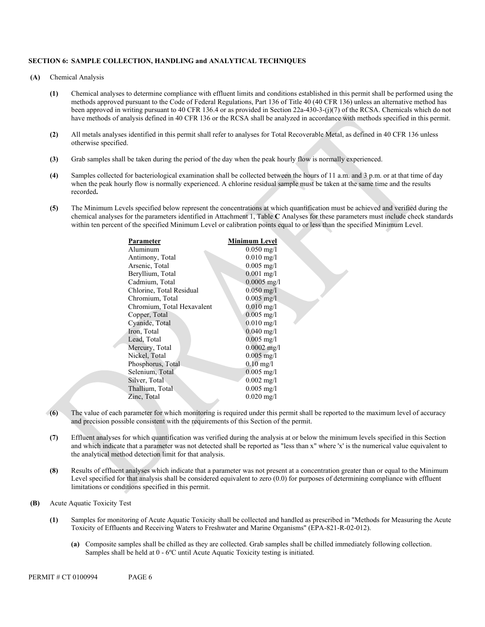#### **SECTION 6: SAMPLE COLLECTION, HANDLING and ANALYTICAL TECHNIQUES**

- **(A)** Chemical Analysis
	- **(1)** Chemical analyses to determine compliance with effluent limits and conditions established in this permit shall be performed using the methods approved pursuant to the Code of Federal Regulations, Part 136 of Title 40 (40 CFR 136) unless an alternative method has been approved in writing pursuant to 40 CFR 136.4 or as provided in Section 22a-430-3-(j)(7) of the RCSA. Chemicals which do not have methods of analysis defined in 40 CFR 136 or the RCSA shall be analyzed in accordance with methods specified in this permit.
	- **(2)** All metals analyses identified in this permit shall refer to analyses for Total Recoverable Metal, as defined in 40 CFR 136 unless otherwise specified.
	- **(3)** Grab samples shall be taken during the period of the day when the peak hourly flow is normally experienced.
	- **(4)** Samples collected for bacteriological examination shall be collected between the hours of 11 a.m. and 3 p.m. or at that time of day when the peak hourly flow is normally experienced. A chlorine residual sample must be taken at the same time and the results recorded**.**
	- **(5)** The Minimum Levels specified below represent the concentrations at which quantification must be achieved and verified during the chemical analyses for the parameters identified in Attachment 1, Table **C** Analyses for these parameters must include check standards within ten percent of the specified Minimum Level or calibration points equal to or less than the specified Minimum Level.

| Parameter                  | Minimum Level           |
|----------------------------|-------------------------|
| Aluminum                   | $0.050$ mg/l            |
| Antimony, Total            | $0.010 \,\mathrm{mg}/l$ |
| Arsenic, Total             | $0.005$ mg/l            |
| Beryllium, Total           | $0.001$ mg/l            |
| Cadmium, Total             | $0.0005$ mg/l           |
| Chlorine, Total Residual   | $0.050$ mg/l            |
| Chromium, Total            | $0.005 \text{ mg}/1$    |
| Chromium, Total Hexavalent | $0.010$ mg/l            |
| Copper, Total              | $0.005$ mg/l            |
| Cyanide, Total             | $0.010$ mg/l            |
| Iron, Total                | $0.040$ mg/l            |
| Lead, Total                | $0.005$ mg/l            |
| Mercury, Total             | $0.0002$ mg/l           |
| Nickel, Total              | $0.005 \,\mathrm{mg}/l$ |
| Phosphorus, Total          | $0.10 \text{ mg}$ /1    |
| Selenium, Total            | $0.005$ mg/l            |
| Silver, Total              | $0.002 \text{ mg/l}$    |
| Thallium, Total            | $0.005$ mg/l            |
| Zinc, Total                | $0.020 \text{ mg/l}$    |
|                            |                         |

- **(6)** The value of each parameter for which monitoring is required under this permit shall be reported to the maximum level of accuracy and precision possible consistent with the requirements of this Section of the permit.
- **(7)** Effluent analyses for which quantification was verified during the analysis at or below the minimum levels specified in this Section and which indicate that a parameter was not detected shall be reported as "less than x" where 'x' is the numerical value equivalent to the analytical method detection limit for that analysis.
- **(8)** Results of effluent analyses which indicate that a parameter was not present at a concentration greater than or equal to the Minimum Level specified for that analysis shall be considered equivalent to zero (0.0) for purposes of determining compliance with effluent limitations or conditions specified in this permit.
- **(B)** Acute Aquatic Toxicity Test
	- **(1)** Samples for monitoring of Acute Aquatic Toxicity shall be collected and handled as prescribed in "Methods for Measuring the Acute Toxicity of Effluents and Receiving Waters to Freshwater and Marine Organisms" (EPA-821-R-02-012).
		- **(a)** Composite samples shall be chilled as they are collected. Grab samples shall be chilled immediately following collection. Samples shall be held at 0 - 6ºC until Acute Aquatic Toxicity testing is initiated.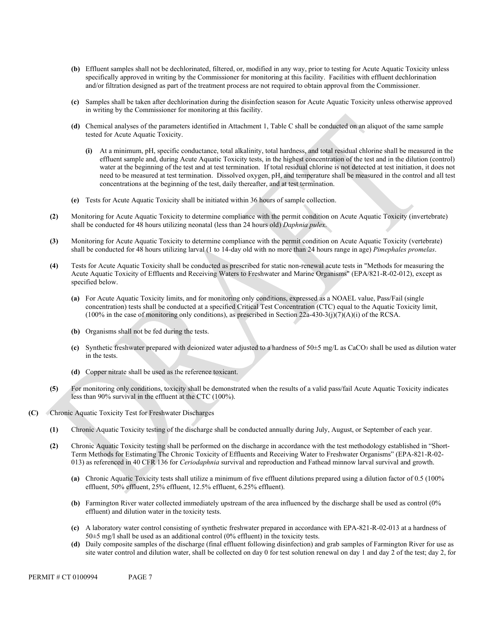- **(b)** Effluent samples shall not be dechlorinated, filtered, or, modified in any way, prior to testing for Acute Aquatic Toxicity unless specifically approved in writing by the Commissioner for monitoring at this facility. Facilities with effluent dechlorination and/or filtration designed as part of the treatment process are not required to obtain approval from the Commissioner.
- **(c)** Samples shall be taken after dechlorination during the disinfection season for Acute Aquatic Toxicity unless otherwise approved in writing by the Commissioner for monitoring at this facility.
- **(d)** Chemical analyses of the parameters identified in Attachment 1, Table C shall be conducted on an aliquot of the same sample tested for Acute Aquatic Toxicity.
	- **(i)** At a minimum, pH, specific conductance, total alkalinity, total hardness, and total residual chlorine shall be measured in the effluent sample and, during Acute Aquatic Toxicity tests, in the highest concentration of the test and in the dilution (control) water at the beginning of the test and at test termination. If total residual chlorine is not detected at test initiation, it does not need to be measured at test termination. Dissolved oxygen, pH, and temperature shall be measured in the control and all test concentrations at the beginning of the test, daily thereafter, and at test termination.
- **(e)** Tests for Acute Aquatic Toxicity shall be initiated within 36 hours of sample collection.
- **(2)** Monitoring for Acute Aquatic Toxicity to determine compliance with the permit condition on Acute Aquatic Toxicity (invertebrate) shall be conducted for 48 hours utilizing neonatal (less than 24 hours old) *Daphnia pulex*.
- **(3)** Monitoring for Acute Aquatic Toxicity to determine compliance with the permit condition on Acute Aquatic Toxicity (vertebrate) shall be conducted for 48 hours utilizing larval (1 to 14-day old with no more than 24 hours range in age) *Pimephales promelas*.
- **(4)** Tests for Acute Aquatic Toxicity shall be conducted as prescribed for static non-renewal acute tests in "Methods for measuring the Acute Aquatic Toxicity of Effluents and Receiving Waters to Freshwater and Marine Organisms" (EPA/821-R-02-012), except as specified below.
	- **(a)** For Acute Aquatic Toxicity limits, and for monitoring only conditions, expressed as a NOAEL value, Pass/Fail (single concentration) tests shall be conducted at a specified Critical Test Concentration (CTC) equal to the Aquatic Toxicity limit, (100% in the case of monitoring only conditions), as prescribed in Section 22a-430-3(j)(7)(A)(i) of the RCSA.
	- **(b)** Organisms shall not be fed during the tests.
	- **(c)** Synthetic freshwater prepared with deionized water adjusted to a hardness of 50±5 mg/L as CaCO3 shall be used as dilution water in the tests.
	- **(d)** Copper nitrate shall be used as the reference toxicant.
- **(5)** For monitoring only conditions, toxicity shall be demonstrated when the results of a valid pass/fail Acute Aquatic Toxicity indicates less than 90% survival in the effluent at the CTC (100%).
- **(C)** Chronic Aquatic Toxicity Test for Freshwater Discharges
	- **(1)** Chronic Aquatic Toxicity testing of the discharge shall be conducted annually during July, August, or September of each year.
	- **(2)** Chronic Aquatic Toxicity testing shall be performed on the discharge in accordance with the test methodology established in "Short-Term Methods for Estimating The Chronic Toxicity of Effluents and Receiving Water to Freshwater Organisms" (EPA-821-R-02- 013) as referenced in 40 CFR 136 for *Ceriodaphnia* survival and reproduction and Fathead minnow larval survival and growth.
		- **(a)** Chronic Aquatic Toxicity tests shall utilize a minimum of five effluent dilutions prepared using a dilution factor of 0.5 (100% effluent, 50% effluent, 25% effluent, 12.5% effluent, 6.25% effluent).
		- **(b)** Farmington River water collected immediately upstream of the area influenced by the discharge shall be used as control (0% effluent) and dilution water in the toxicity tests.
		- **(c)** A laboratory water control consisting of synthetic freshwater prepared in accordance with EPA-821-R-02-013 at a hardness of 50±5 mg/l shall be used as an additional control (0% effluent) in the toxicity tests.
		- **(d)** Daily composite samples of the discharge (final effluent following disinfection) and grab samples of Farmington River for use as site water control and dilution water, shall be collected on day 0 for test solution renewal on day 1 and day 2 of the test; day 2, for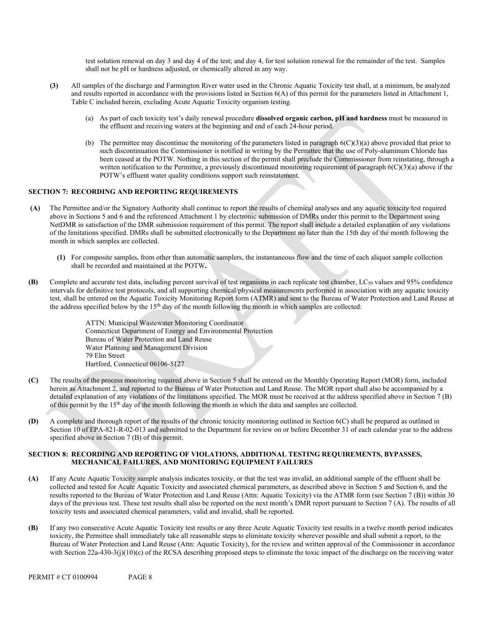test solution renewal on day 3 and day 4 of the test; and day 4, for test solution renewal for the remainder of the test. Samples shall not be pH or hardness adjusted, or chemically altered in any way.

- **(3)** All samples of the discharge and Farmington River water used in the Chronic Aquatic Toxicity test shall, at a minimum, be analyzed and results reported in accordance with the provisions listed in Section 6(A) of this permit for the parameters listed in Attachment 1, Table C included herein, excluding Acute Aquatic Toxicity organism testing.
	- (a) As part of each toxicity test's daily renewal procedure **dissolved organic carbon, pH and hardness** must be measured in the effluent and receiving waters at the beginning and end of each 24-hour period.
	- (b) The permittee may discontinue the monitoring of the parameters listed in paragraph  $6(C)(3)(a)$  above provided that prior to such discontinuation the Commissioner is notified in writing by the Permittee that the use of Poly-aluminum Chloride has been ceased at the POTW. Nothing in this section of the permit shall preclude the Commissioner from reinstating, through a written notification to the Permittee, a previously discontinued monitoring requirement of paragraph  $6(C)(3)(a)$  above if the POTW's effluent water quality conditions support such reinstatement.

### **SECTION 7: RECORDING AND REPORTING REQUIREMENTS**

- **(A)** The Permittee and/or the Signatory Authority shall continue to report the results of chemical analyses and any aquatic toxicity test required above in Sections 5 and 6 and the referenced Attachment 1 by electronic submission of DMRs under this permit to the Department using NetDMR in satisfaction of the DMR submission requirement of this permit. The report shall include a detailed explanation of any violations of the limitations specified. DMRs shall be submitted electronically to the Department no later than the 15th day of the month following the month in which samples are collected.
	- **(1)** For composite samples, from other than automatic samplers, the instantaneous flow and the time of each aliquot sample collection shall be recorded and maintained at the POTW**.**
- **(B)** Complete and accurate test data, including percent survival of test organisms in each replicate test chamber, LC50 values and 95% confidence intervals for definitive test protocols, and all supporting chemical/physical measurements performed in association with any aquatic toxicity test, shall be entered on the Aquatic Toxicity Monitoring Report form (ATMR) and sent to the Bureau of Water Protection and Land Reuse at the address specified below by the  $15<sup>th</sup>$  day of the month following the month in which samples are collected:

ATTN: Municipal Wastewater Monitoring Coordinator Connecticut Department of Energy and Environmental Protection Bureau of Water Protection and Land Reuse Water Planning and Management Division 79 Elm Street Hartford, Connecticut 06106-5127

- **(C)** The results of the process monitoring required above in Section 5 shall be entered on the Monthly Operating Report (MOR) form, included herein as Attachment 2, and reported to the Bureau of Water Protection and Land Reuse. The MOR report shall also be accompanied by a detailed explanation of any violations of the limitations specified. The MOR must be received at the address specified above in Section 7 (B) of this permit by the 15<sup>th</sup> day of the month following the month in which the data and samples are collected.
- **(D)** A complete and thorough report of the results of the chronic toxicity monitoring outlined in Section 6(C) shall be prepared as outlined in Section 10 of EPA-821-R-02-013 and submitted to the Department for review on or before December 31 of each calendar year to the address specified above in Section 7 (B) of this permit.

### **SECTION 8: RECORDING AND REPORTING OF VIOLATIONS, ADDITIONAL TESTING REQUIREMENTS, BYPASSES, MECHANICAL FAILURES, AND MONITORING EQUIPMENT FAILURES**

- **(A)** If any Acute Aquatic Toxicity sample analysis indicates toxicity, or that the test was invalid, an additional sample of the effluent shall be collected and tested for Acute Aquatic Toxicity and associated chemical parameters, as described above in Section 5 and Section 6, and the results reported to the Bureau of Water Protection and Land Reuse (Attn: Aquatic Toxicity) via the ATMR form (see Section 7 (B)) within 30 days of the previous test. These test results shall also be reported on the next month's DMR report pursuant to Section 7 (A). The results of all toxicity tests and associated chemical parameters, valid and invalid, shall be reported.
- **(B)** If any two consecutive Acute Aquatic Toxicity test results or any three Acute Aquatic Toxicity test results in a twelve month period indicates toxicity, the Permittee shall immediately take all reasonable steps to eliminate toxicity wherever possible and shall submit a report, to the Bureau of Water Protection and Land Reuse (Attn: Aquatic Toxicity), for the review and written approval of the Commissioner in accordance with Section 22a-430-3(j)(10)(c) of the RCSA describing proposed steps to eliminate the toxic impact of the discharge on the receiving water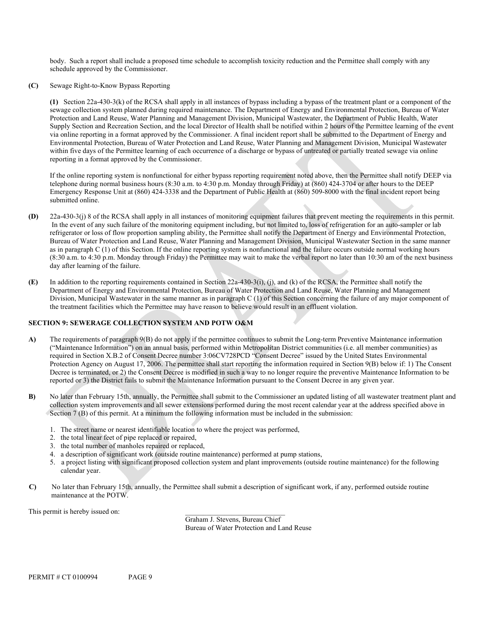body. Such a report shall include a proposed time schedule to accomplish toxicity reduction and the Permittee shall comply with any schedule approved by the Commissioner.

**(C)** Sewage Right-to-Know Bypass Reporting

**(1)** Section 22a-430-3(k) of the RCSA shall apply in all instances of bypass including a bypass of the treatment plant or a component of the sewage collection system planned during required maintenance. The Department of Energy and Environmental Protection, Bureau of Water Protection and Land Reuse, Water Planning and Management Division, Municipal Wastewater, the Department of Public Health, Water Supply Section and Recreation Section, and the local Director of Health shall be notified within 2 hours of the Permittee learning of the event via online reporting in a format approved by the Commissioner. A final incident report shall be submitted to the Department of Energy and Environmental Protection, Bureau of Water Protection and Land Reuse, Water Planning and Management Division, Municipal Wastewater within five days of the Permittee learning of each occurrence of a discharge or bypass of untreated or partially treated sewage via online reporting in a format approved by the Commissioner.

If the online reporting system is nonfunctional for either bypass reporting requirement noted above, then the Permittee shall notify DEEP via telephone during normal business hours (8:30 a.m. to 4:30 p.m. Monday through Friday) at (860) 424-3704 or after hours to the DEEP Emergency Response Unit at (860) 424-3338 and the Department of Public Health at (860) 509-8000 with the final incident report being submitted online.

- **(D)** 22a-430-3(j) 8 of the RCSA shall apply in all instances of monitoring equipment failures that prevent meeting the requirements in this permit. In the event of any such failure of the monitoring equipment including, but not limited to, loss of refrigeration for an auto-sampler or lab refrigerator or loss of flow proportion sampling ability, the Permittee shall notify the Department of Energy and Environmental Protection, Bureau of Water Protection and Land Reuse, Water Planning and Management Division, Municipal Wastewater Section in the same manner as in paragraph C (1) of this Section. If the online reporting system is nonfunctional and the failure occurs outside normal working hours (8:30 a.m. to 4:30 p.m. Monday through Friday) the Permittee may wait to make the verbal report no later than 10:30 am of the next business day after learning of the failure.
- **(E)** In addition to the reporting requirements contained in Section 22a-430-3(i), (j), and (k) of the RCSA, the Permittee shall notify the Department of Energy and Environmental Protection, Bureau of Water Protection and Land Reuse, Water Planning and Management Division, Municipal Wastewater in the same manner as in paragraph C (1) of this Section concerning the failure of any major component of the treatment facilities which the Permittee may have reason to believe would result in an effluent violation.

### **SECTION 9: SEWERAGE COLLECTION SYSTEM AND POTW O&M**

- **A)** The requirements of paragraph 9(B) do not apply if the permittee continues to submit the Long-term Preventive Maintenance information ("Maintenance Information") on an annual basis, performed within Metropolitan District communities (i.e. all member communities) as required in Section X.B.2 of Consent Decree number 3:06CV728PCD "Consent Decree" issued by the United States Environmental Protection Agency on August 17, 2006. The permittee shall start reporting the information required in Section 9(B) below if: 1) The Consent Decree is terminated, or 2) the Consent Decree is modified in such a way to no longer require the preventive Maintenance Information to be reported or 3) the District fails to submit the Maintenance Information pursuant to the Consent Decree in any given year.
- **B)** No later than February 15th, annually, the Permittee shall submit to the Commissioner an updated listing of all wastewater treatment plant and collection system improvements and all sewer extensions performed during the most recent calendar year at the address specified above in Section 7 (B) of this permit. At a minimum the following information must be included in the submission:
	- 1. The street name or nearest identifiable location to where the project was performed,
	- 2. the total linear feet of pipe replaced or repaired,
	- 3. the total number of manholes repaired or replaced,
	- 4. a description of significant work (outside routine maintenance) performed at pump stations,
	- 5. a project listing with significant proposed collection system and plant improvements (outside routine maintenance) for the following calendar year.
- **C)** No later than February 15th, annually, the Permittee shall submit a description of significant work, if any, performed outside routine maintenance at the POTW.

This permit is hereby issued on:

Graham J. Stevens, Bureau Chief Bureau of Water Protection and Land Reuse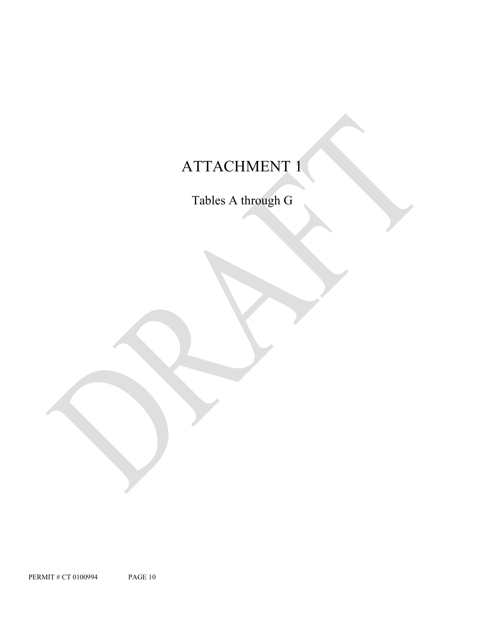# ATTACHMENT 1

Tables A through G

PERMIT # CT 0100994 PAGE 10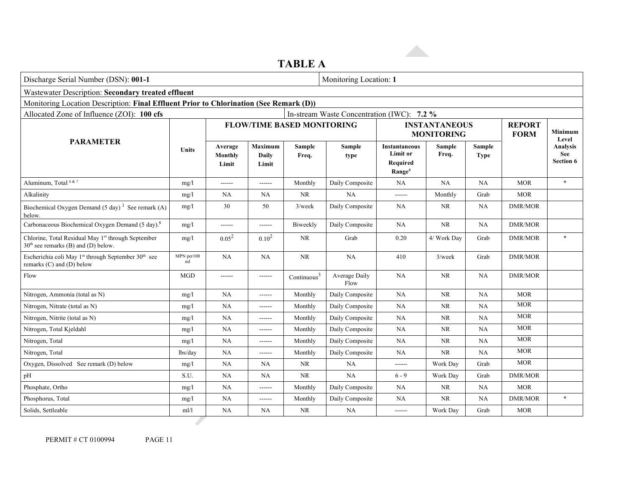|                                                                                                              | TADLE U                                            |                             |                           |                                   |                                            |                                                                           |                                           |                              |                              |                                     |
|--------------------------------------------------------------------------------------------------------------|----------------------------------------------------|-----------------------------|---------------------------|-----------------------------------|--------------------------------------------|---------------------------------------------------------------------------|-------------------------------------------|------------------------------|------------------------------|-------------------------------------|
| Discharge Serial Number (DSN): 001-1<br>Monitoring Location: 1                                               |                                                    |                             |                           |                                   |                                            |                                                                           |                                           |                              |                              |                                     |
|                                                                                                              | Wastewater Description: Secondary treated effluent |                             |                           |                                   |                                            |                                                                           |                                           |                              |                              |                                     |
| Monitoring Location Description: Final Effluent Prior to Chlorination (See Remark (D))                       |                                                    |                             |                           |                                   |                                            |                                                                           |                                           |                              |                              |                                     |
| Allocated Zone of Influence (ZOI): 100 cfs                                                                   |                                                    |                             |                           |                                   | In-stream Waste Concentration (IWC): 7.2 % |                                                                           |                                           |                              |                              |                                     |
|                                                                                                              |                                                    |                             |                           | <b>FLOW/TIME BASED MONITORING</b> |                                            |                                                                           | <b>INSTANTANEOUS</b><br><b>MONITORING</b> |                              | <b>REPORT</b><br><b>FORM</b> | <b>Minimum</b><br>Level             |
| <b>PARAMETER</b><br><b>Units</b>                                                                             |                                                    | Average<br>Monthly<br>Limit | Maximum<br>Daily<br>Limit | Sample<br>Freq.                   | Sample<br>type                             | <b>Instantaneous</b><br><b>Limit or</b><br>Required<br>Range <sup>4</sup> | <b>Sample</b><br>Freq.                    | <b>Sample</b><br><b>Type</b> |                              | Analysis<br>See<br><b>Section 6</b> |
| Aluminum, Total <sup>6&amp;7</sup>                                                                           | mg/1                                               | ------                      | ------                    | Monthly                           | Daily Composite                            | NA                                                                        | NA                                        | NA                           | <b>MOR</b>                   | $\ast$                              |
| Alkalinity                                                                                                   | mg/1                                               | NA                          | <b>NA</b>                 | $\rm NR$                          | NA                                         |                                                                           | Monthly                                   | Grab                         | <b>MOR</b>                   |                                     |
| Biochemical Oxygen Demand (5 day) <sup>1</sup> See remark (A)<br>below.                                      | mg/1                                               | 30                          | 50                        | $3$ /week                         | Daily Composite                            | NA                                                                        | NR                                        | NA                           | <b>DMR/MOR</b>               |                                     |
| Carbonaceous Biochemical Oxygen Demand (5 day). <sup>5</sup>                                                 | mg/l                                               | ------                      | ------                    | Biweekly                          | Daily Composite                            | NA                                                                        | <b>NR</b>                                 | NA                           | <b>DMR/MOR</b>               |                                     |
| Chlorine, Total Residual May 1st through September<br>$30th$ see remarks (B) and (D) below.                  | mg/l                                               | $0.05^{2}$                  | $0.10^{2}$                | <b>NR</b>                         | Grab                                       | 0.20                                                                      | 4/ Work Day                               | Grab                         | <b>DMR/MOR</b>               | $\ast$                              |
| Escherichia coli May 1 <sup>st</sup> through September 30 <sup>th</sup> see<br>remarks $(C)$ and $(D)$ below | MPN per100<br>ml                                   | NA                          | <b>NA</b>                 | <b>NR</b>                         | NA                                         | 410                                                                       | $3$ /week                                 | Grab                         | <b>DMR/MOR</b>               |                                     |
| Flow                                                                                                         | <b>MGD</b>                                         | ------                      | ------                    | Continuous $3$                    | Average Daily<br>Flow                      | NA                                                                        | <b>NR</b>                                 | NA                           | <b>DMR/MOR</b>               |                                     |
| Nitrogen, Ammonia (total as N)                                                                               | mg/1                                               | NA                          | ------                    | Monthly                           | Daily Composite                            | <b>NA</b>                                                                 | NR                                        | NA                           | <b>MOR</b>                   |                                     |
| Nitrogen, Nitrate (total as N)                                                                               | mg/1                                               | NA                          | ------                    | Monthly                           | Daily Composite                            | NA                                                                        | NR                                        | NA                           | <b>MOR</b>                   |                                     |
| Nitrogen, Nitrite (total as N)                                                                               | mg/1                                               | NA                          | ------                    | Monthly                           | Daily Composite                            | <b>NA</b>                                                                 | NR                                        | NA                           | <b>MOR</b>                   |                                     |
| Nitrogen, Total Kjeldahl                                                                                     | mg/1                                               | NA                          | ------                    | Monthly                           | Daily Composite                            | NA                                                                        | <b>NR</b>                                 | NA                           | <b>MOR</b>                   |                                     |
| Nitrogen, Total                                                                                              | mg/1                                               | NA                          | ------                    | Monthly                           | Daily Composite                            | NA                                                                        | NR                                        | NA                           | <b>MOR</b>                   |                                     |
| Nitrogen, Total                                                                                              | lbs/day                                            | NA                          | ------                    | Monthly                           | Daily Composite                            | <b>NA</b>                                                                 | <b>NR</b>                                 | NA                           | <b>MOR</b>                   |                                     |
| Oxygen, Dissolved See remark (D) below                                                                       | mg/1                                               | NA                          | <b>NA</b>                 | <b>NR</b>                         | NA                                         | ------                                                                    | Work Day                                  | Grab                         | <b>MOR</b>                   |                                     |
| pH                                                                                                           | S.U.                                               | NA                          | <b>NA</b>                 | <b>NR</b>                         | NA                                         | $6 - 9$                                                                   | Work Day                                  | Grab                         | DMR/MOR                      |                                     |
| Phosphate, Ortho                                                                                             | mg/1                                               | NA                          | ------                    | Monthly                           | Daily Composite                            | <b>NA</b>                                                                 | NR                                        | NA                           | <b>MOR</b>                   |                                     |
| Phosphorus, Total                                                                                            | mg/1                                               | NA                          | ------                    | Monthly                           | Daily Composite                            | <b>NA</b>                                                                 | <b>NR</b>                                 | NA                           | <b>DMR/MOR</b>               | $\ast$                              |
| Solids, Settleable                                                                                           | ml/1                                               | NA                          | NA                        | NR                                | NA                                         | ------                                                                    | Work Day                                  | Grab                         | <b>MOR</b>                   |                                     |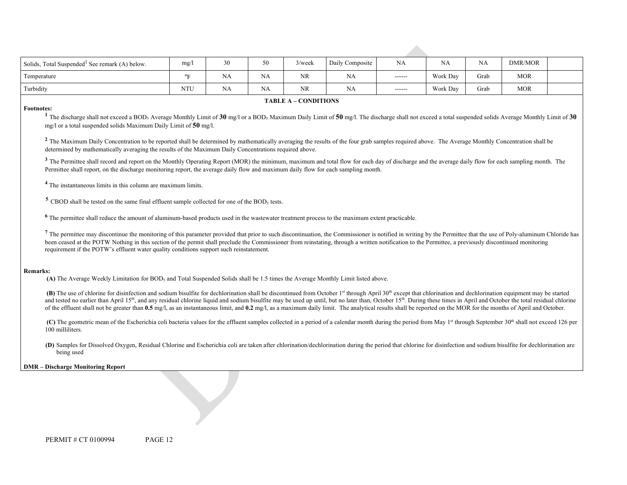| Solids, Total Suspended <sup>1</sup> See remark (A) below.                                                                                                                                                                                                                                                                                                                                                                                                                                                                                                                                                                                                                                                                                                                                                                                                                                                                                                                                                                                                                                                                                                                                                                                                                                                                                                                                                                                                                                                                                                                                                                                                                                                                                                                                                                                                                                           | mg/1                      | 30        | 50 | $3$ /week                   | Daily Composite | <b>NA</b> | <b>NA</b> | NA   | <b>DMR/MOR</b> |  |
|------------------------------------------------------------------------------------------------------------------------------------------------------------------------------------------------------------------------------------------------------------------------------------------------------------------------------------------------------------------------------------------------------------------------------------------------------------------------------------------------------------------------------------------------------------------------------------------------------------------------------------------------------------------------------------------------------------------------------------------------------------------------------------------------------------------------------------------------------------------------------------------------------------------------------------------------------------------------------------------------------------------------------------------------------------------------------------------------------------------------------------------------------------------------------------------------------------------------------------------------------------------------------------------------------------------------------------------------------------------------------------------------------------------------------------------------------------------------------------------------------------------------------------------------------------------------------------------------------------------------------------------------------------------------------------------------------------------------------------------------------------------------------------------------------------------------------------------------------------------------------------------------------|---------------------------|-----------|----|-----------------------------|-----------------|-----------|-----------|------|----------------|--|
| Temperature                                                                                                                                                                                                                                                                                                                                                                                                                                                                                                                                                                                                                                                                                                                                                                                                                                                                                                                                                                                                                                                                                                                                                                                                                                                                                                                                                                                                                                                                                                                                                                                                                                                                                                                                                                                                                                                                                          | $\mathrm{P}_{\mathrm{F}}$ | <b>NA</b> | NA | <b>NR</b>                   | <b>NA</b>       | ------    | Work Day  | Grab | <b>MOR</b>     |  |
| Turbidity                                                                                                                                                                                                                                                                                                                                                                                                                                                                                                                                                                                                                                                                                                                                                                                                                                                                                                                                                                                                                                                                                                                                                                                                                                                                                                                                                                                                                                                                                                                                                                                                                                                                                                                                                                                                                                                                                            | <b>NTU</b>                | NA        | NA | NR                          | <b>NA</b>       | ------    | Work Day  | Grab | <b>MOR</b>     |  |
|                                                                                                                                                                                                                                                                                                                                                                                                                                                                                                                                                                                                                                                                                                                                                                                                                                                                                                                                                                                                                                                                                                                                                                                                                                                                                                                                                                                                                                                                                                                                                                                                                                                                                                                                                                                                                                                                                                      |                           |           |    | <b>TABLE A - CONDITIONS</b> |                 |           |           |      |                |  |
| <b>Footnotes:</b><br><sup>1</sup> The discharge shall not exceed a BOD <sub>5</sub> Average Monthly Limit of 30 mg/l or a BOD <sub>5</sub> Maximum Daily Limit of 50 mg/l. The discharge shall not exceed a total suspended solids Average Monthly Limit of 30<br>mg/l or a total suspended solids Maximum Daily Limit of 50 mg/l.<br><sup>2</sup> The Maximum Daily Concentration to be reported shall be determined by mathematically averaging the results of the four grab samples required above. The Average Monthly Concentration shall be<br>determined by mathematically averaging the results of the Maximum Daily Concentrations required above.<br><sup>3</sup> The Permittee shall record and report on the Monthly Operating Report (MOR) the minimum, maximum and total flow for each day of discharge and the average daily flow for each sampling month. The<br>Permittee shall report, on the discharge monitoring report, the average daily flow and maximum daily flow for each sampling month.<br><sup>4</sup> The instantaneous limits in this column are maximum limits.<br>$5$ CBOD shall be tested on the same final effluent sample collected for one of the BOD <sub>5</sub> tests.<br><sup>6</sup> The permittee shall reduce the amount of aluminum-based products used in the wastewater treatment process to the maximum extent practicable.<br>7 The permittee may discontinue the monitoring of this parameter provided that prior to such discontinuation, the Commissioner is notified in writing by the Permittee that the use of Poly-aluminum Chloride has<br>been ceased at the POTW Nothing in this section of the permit shall preclude the Commissioner from reinstating, through a written notification to the Permittee, a previously discontinued monitoring<br>requirement if the POTW's effluent water quality conditions support such reinstatement. |                           |           |    |                             |                 |           |           |      |                |  |
| <b>Remarks:</b><br>(A) The Average Weekly Limitation for BOD <sub>5</sub> and Total Suspended Solids shall be 1.5 times the Average Monthly Limit listed above.<br>(B) The use of chlorine for disinfection and sodium bisulfite for dechlorination shall be discontinued from October 1 <sup>st</sup> through April 30 <sup>th</sup> except that chlorination and dechlorination equipment may be started<br>and tested no earlier than April 15 <sup>th</sup> , and any residual chlorine liquid and sodium bisulfite may be used up until, but no later than, October 15 <sup>th</sup> . During these times in April and October the total residual chlorine<br>of the effluent shall not be greater than 0.5 mg/l, as an instantaneous limit, and 0.2 mg/l, as a maximum daily limit. The analytical results shall be reported on the MOR for the months of April and October.<br>(C) The geometric mean of the Escherichia coli bacteria values for the effluent samples collected in a period of a calendar month during the period from May 1 <sup>st</sup> through September 30 <sup>th</sup> shall not exceed 126 per<br>100 milliliters.<br>(D) Samples for Dissolved Oxygen, Residual Chlorine and Escherichia coli are taken after chlorination/dechlorination during the period that chlorine for disinfection and sodium bisulfite for dechlorination are<br>being used<br><b>DMR</b> – Discharge Monitoring Report                                                                                                                                                                                                                                                                                                                                                                                                                                                                    |                           |           |    |                             |                 |           |           |      |                |  |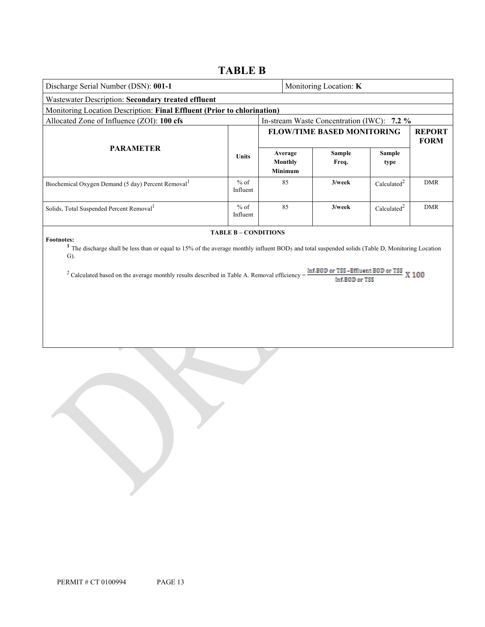## **TABLE B**

| Discharge Serial Number (DSN): 001-1                                                                                                                                                                                                                                                                                       |                             |  |                                      | Monitoring Location: K                                     |                         |                              |
|----------------------------------------------------------------------------------------------------------------------------------------------------------------------------------------------------------------------------------------------------------------------------------------------------------------------------|-----------------------------|--|--------------------------------------|------------------------------------------------------------|-------------------------|------------------------------|
| Wastewater Description: Secondary treated effluent                                                                                                                                                                                                                                                                         |                             |  |                                      |                                                            |                         |                              |
| Monitoring Location Description: Final Effluent (Prior to chlorination)                                                                                                                                                                                                                                                    |                             |  |                                      |                                                            |                         |                              |
| Allocated Zone of Influence (ZOI): 100 cfs                                                                                                                                                                                                                                                                                 |                             |  |                                      | In-stream Waste Concentration (IWC): 7.2 %                 |                         |                              |
|                                                                                                                                                                                                                                                                                                                            |                             |  |                                      | <b>FLOW/TIME BASED MONITORING</b>                          |                         | <b>REPORT</b><br><b>FORM</b> |
| <b>PARAMETER</b>                                                                                                                                                                                                                                                                                                           | <b>Units</b>                |  | Average<br>Monthly<br><b>Minimum</b> | <b>Sample</b><br>Freq.                                     | <b>Sample</b><br>type   |                              |
| Biochemical Oxygen Demand (5 day) Percent Removal                                                                                                                                                                                                                                                                          | $%$ of<br>Influent          |  | 85                                   | $3$ /week                                                  | Calculated <sup>2</sup> | <b>DMR</b>                   |
| Solids, Total Suspended Percent Removal <sup>1</sup>                                                                                                                                                                                                                                                                       | $%$ of<br>Influent          |  | 85                                   | $3$ /week                                                  | Calculated <sup>2</sup> | <b>DMR</b>                   |
| <b>Footnotes:</b><br><sup>1</sup> The discharge shall be less than or equal to 15% of the average monthly influent BOD <sub>5</sub> and total suspended solids (Table D, Monitoring Location<br>$\mathbf{G}$ ).<br><sup>2</sup> Calculated based on the average monthly results described in Table A. Removal efficiency = | <b>TABLE B - CONDITIONS</b> |  |                                      | Inf.BOD or TSS-Effluent BOD or TSS X 100<br>Inf.B0D or TSS |                         |                              |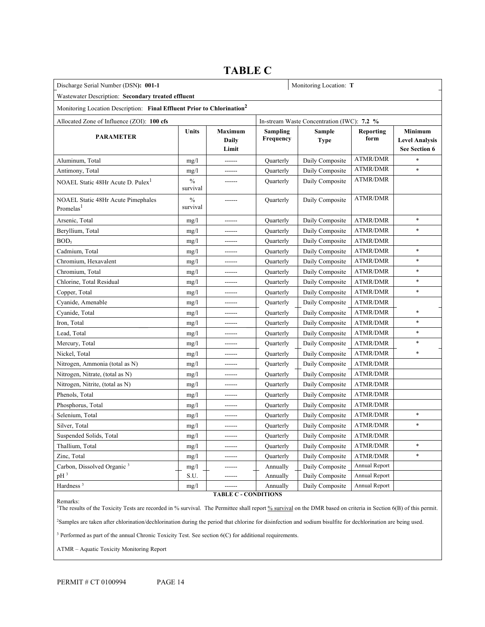## **TABLE C**

| Discharge Serial Number (DSN): 001-1<br>Monitoring Location: T                     |                           |                                  |                       |                                            |                   |                                                   |
|------------------------------------------------------------------------------------|---------------------------|----------------------------------|-----------------------|--------------------------------------------|-------------------|---------------------------------------------------|
| Wastewater Description: Secondary treated effluent                                 |                           |                                  |                       |                                            |                   |                                                   |
| Monitoring Location Description: Final Effluent Prior to Chlorination <sup>2</sup> |                           |                                  |                       |                                            |                   |                                                   |
| Allocated Zone of Influence (ZOI): 100 cfs                                         |                           |                                  |                       | In-stream Waste Concentration (IWC): 7.2 % |                   |                                                   |
| <b>PARAMETER</b>                                                                   | Units                     | <b>Maximum</b><br>Daily<br>Limit | Sampling<br>Frequency | Sample<br><b>Type</b>                      | Reporting<br>form | Minimum<br><b>Level Analysis</b><br>See Section 6 |
| Aluminum, Total                                                                    | mg/1                      |                                  | Quarterly             | Daily Composite                            | <b>ATMR/DMR</b>   | $\ast$                                            |
| Antimony, Total                                                                    | mg/1                      | ------                           | Quarterly             | Daily Composite                            | ATMR/DMR          | $\ast$                                            |
| NOAEL Static 48Hr Acute D. Pulex <sup>1</sup>                                      | $\frac{0}{0}$<br>survival |                                  | Quarterly             | Daily Composite                            | ATMR/DMR          |                                                   |
| <b>NOAEL Static 48Hr Acute Pimephales</b><br>Promelas <sup>1</sup>                 | $\frac{0}{0}$<br>survival |                                  | Quarterly             | Daily Composite                            | <b>ATMR/DMR</b>   |                                                   |
| Arsenic, Total                                                                     | mg/1                      | ------                           | Quarterly             | Daily Composite                            | <b>ATMR/DMR</b>   | $\ast$                                            |
| Beryllium, Total                                                                   | mg/1                      |                                  | Quarterly             | Daily Composite                            | <b>ATMR/DMR</b>   | *                                                 |
| BOD <sub>5</sub>                                                                   | mg/1                      |                                  | Quarterly             | Daily Composite                            | ATMR/DMR          |                                                   |
| Cadmium. Total                                                                     | mg/1                      |                                  | Quarterly             | Daily Composite                            | ATMR/DMR          | $\ast$                                            |
| Chromium, Hexavalent                                                               | mg/l                      |                                  | Quarterly             | Daily Composite                            | ATMR/DMR          | *                                                 |
| Chromium, Total                                                                    | mg/1                      | ------                           | Quarterly             | Daily Composite                            | ATMR/DMR          | $\ast$                                            |
| Chlorine, Total Residual                                                           | mg/1                      | ------                           | Quarterly             | Daily Composite                            | <b>ATMR/DMR</b>   |                                                   |
| Copper, Total                                                                      | mg/1                      |                                  | Quarterly             | Daily Composite                            | ATMR/DMR          | *                                                 |
| Cyanide, Amenable                                                                  | mg/1                      | ------                           | Quarterly             | Daily Composite                            | ATMR/DMR          |                                                   |
| Cyanide, Total                                                                     | mg/1                      | ------                           | Quarterly             | Daily Composite                            | ATMR/DMR          | $\ast$                                            |
| Iron, Total                                                                        | mg/1                      | ------                           | Quarterly             | Daily Composite                            | ATMR/DMR          | *                                                 |
| Lead, Total                                                                        | mg/l                      | ------                           | Quarterly             | Daily Composite                            | ATMR/DMR          | *                                                 |
| Mercury, Total                                                                     | mg/1                      | ------                           | Quarterly             | Daily Composite                            | ATMR/DMR          | *                                                 |
| Nickel, Total                                                                      | mg/1                      | ------                           | Quarterly             | Daily Composite                            | <b>ATMR/DMR</b>   | $\ast$                                            |
| Nitrogen, Ammonia (total as N)                                                     | mg/l                      |                                  | Quarterly             | Daily Composite                            | <b>ATMR/DMR</b>   |                                                   |
| Nitrogen, Nitrate, (total as N)                                                    | mg/1                      | ------                           | Quarterly             | Daily Composite                            | ATMR/DMR          |                                                   |
| Nitrogen, Nitrite, (total as N)                                                    | mg/1                      | ------                           | Quarterly             | Daily Composite                            | <b>ATMR/DMR</b>   |                                                   |
| Phenols, Total                                                                     | mg/l                      | ------                           | Quarterly             | Daily Composite                            | <b>ATMR/DMR</b>   |                                                   |
| Phosphorus, Total                                                                  | mg/1                      | ------                           | Quarterly             | Daily Composite                            | ATMR/DMR          |                                                   |
| Selenium, Total                                                                    | mg/1                      | ------                           | Quarterly             | Daily Composite                            | <b>ATMR/DMR</b>   | *                                                 |
| Silver, Total                                                                      | mg/1                      | ------                           | Quarterly             | Daily Composite                            | <b>ATMR/DMR</b>   | *                                                 |
| Suspended Solids, Total                                                            | mg/l                      |                                  | Quarterly             | Daily Composite                            | ATMR/DMR          |                                                   |
| Thallium, Total                                                                    | mg/l                      | ------                           | Quarterly             | Daily Composite                            | ATMR/DMR          | *                                                 |
| Zinc, Total                                                                        | mg/1                      |                                  | Quarterly             | Daily Composite                            | ATMR/DMR          | *                                                 |
| Carbon, Dissolved Organic <sup>3</sup>                                             | mg/l                      |                                  | Annually              | Daily Composite                            | Annual Report     |                                                   |
| $pH^3$                                                                             | S.U.                      |                                  | Annually              | Daily Composite                            | Annual Report     |                                                   |
| Hardness <sup>3</sup>                                                              | mg/1                      | ------                           | Annually              | Daily Composite                            | Annual Report     |                                                   |

Remarks:

**TABLE C - CONDITIONS**

<sup>1</sup>The results of the Toxicity Tests are recorded in % survival. The Permittee shall report % survival on the DMR based on criteria in Section 6(B) of this permit. 2Samples are taken after chlorination/dechlorination during the period that chlorine for disinfection and sodium bisulfite for dechlorination are being used.

<sup>3</sup> Performed as part of the annual Chronic Toxicity Test. See section 6(C) for additional requirements.

ATMR – Aquatic Toxicity Monitoring Report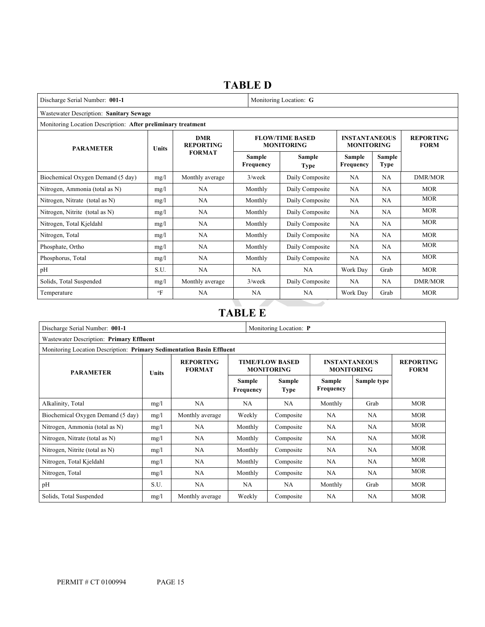## **TABLE D**

| Discharge Serial Number: 001-1                               |             | Monitoring Location: G         |                     |                                             |                                           |                       |                                 |
|--------------------------------------------------------------|-------------|--------------------------------|---------------------|---------------------------------------------|-------------------------------------------|-----------------------|---------------------------------|
| Wastewater Description: Sanitary Sewage                      |             |                                |                     |                                             |                                           |                       |                                 |
| Monitoring Location Description: After preliminary treatment |             |                                |                     |                                             |                                           |                       |                                 |
| <b>PARAMETER</b>                                             | Units       | <b>DMR</b><br><b>REPORTING</b> |                     | <b>FLOW/TIME BASED</b><br><b>MONITORING</b> | <b>INSTANTANEOUS</b><br><b>MONITORING</b> |                       | <b>REPORTING</b><br><b>FORM</b> |
|                                                              |             | <b>FORMAT</b>                  | Sample<br>Frequency | Sample<br><b>Type</b>                       | Sample<br>Frequency                       | Sample<br><b>Type</b> |                                 |
| Biochemical Oxygen Demand (5 day)                            | mg/l        | Monthly average                | $3$ /week           | Daily Composite                             | <b>NA</b>                                 | NA                    | DMR/MOR                         |
| Nitrogen, Ammonia (total as N)                               | mg/l        | NA                             | Monthly             | Daily Composite                             | NA                                        | NA                    | <b>MOR</b>                      |
| Nitrogen, Nitrate (total as N)                               | mg/1        | NA                             | Monthly             | Daily Composite                             | NA                                        | NA                    | <b>MOR</b>                      |
| Nitrogen, Nitrite (total as N)                               | mg/1        | NA                             | Monthly             | Daily Composite                             | NA                                        | <b>NA</b>             | <b>MOR</b>                      |
| Nitrogen, Total Kjeldahl                                     | mg/l        | NA                             | Monthly             | Daily Composite                             | NA                                        | NA                    | <b>MOR</b>                      |
| Nitrogen, Total                                              | mg/l        | <b>NA</b>                      | Monthly             | Daily Composite                             | NA.                                       | <b>NA</b>             | <b>MOR</b>                      |
| Phosphate, Ortho                                             | mg/l        | NA                             | Monthly             | Daily Composite                             | <b>NA</b>                                 | NA                    | <b>MOR</b>                      |
| Phosphorus, Total                                            | mg/1        | NA                             | Monthly             | Daily Composite                             | <b>NA</b>                                 | <b>NA</b>             | <b>MOR</b>                      |
| pH                                                           | S.U.        | NA                             | NA                  | NA                                          | Work Day                                  | Grab                  | <b>MOR</b>                      |
| Solids, Total Suspended                                      | mg/l        | Monthly average                | $3$ /week           | Daily Composite                             | <b>NA</b>                                 | <b>NA</b>             | DMR/MOR                         |
| Temperature                                                  | $\rm ^{o}F$ | <b>NA</b>                      | <b>NA</b>           | <b>NA</b>                                   | Work Day                                  | Grab                  | <b>MOR</b>                      |

## **TABLE E**

| Discharge Serial Number: 001-1           |                                                                       | Monitoring Location: P                         |         |                                             |                            |                                           |            |  |
|------------------------------------------|-----------------------------------------------------------------------|------------------------------------------------|---------|---------------------------------------------|----------------------------|-------------------------------------------|------------|--|
| Wastewater Description: Primary Effluent |                                                                       |                                                |         |                                             |                            |                                           |            |  |
|                                          | Monitoring Location Description: Primary Sedimentation Basin Effluent |                                                |         |                                             |                            |                                           |            |  |
| <b>PARAMETER</b>                         | <b>Units</b>                                                          | <b>REPORTING</b><br><b>FORMAT</b><br>Frequency |         | <b>TIME/FLOW BASED</b><br><b>MONITORING</b> |                            | <b>INSTANTANEOUS</b><br><b>MONITORING</b> |            |  |
|                                          |                                                                       |                                                |         | <b>Sample</b><br>Type                       | Sample<br><b>Frequency</b> | Sample type                               |            |  |
| Alkalinity, Total                        | mg/l                                                                  | NA                                             | NA.     | NA                                          | Monthly                    | Grab                                      | <b>MOR</b> |  |
| Biochemical Oxygen Demand (5 day)        | mg/l                                                                  | Monthly average                                | Weekly  | Composite                                   | NA.                        | NA.                                       | <b>MOR</b> |  |
| Nitrogen, Ammonia (total as N)           | mg/l                                                                  | NA.                                            | Monthly | Composite                                   | NA.                        | NA.                                       | <b>MOR</b> |  |
| Nitrogen, Nitrate (total as N)           | mg/l                                                                  | <b>NA</b>                                      | Monthly | Composite                                   | NA                         | NA.                                       | MOR        |  |
| Nitrogen, Nitrite (total as N)           | mg/l                                                                  | NA                                             | Monthly | Composite                                   | NA                         | NA                                        | <b>MOR</b> |  |
| Nitrogen, Total Kjeldahl                 | mg/l                                                                  | NA                                             | Monthly | Composite                                   | NA.                        | NA.                                       | <b>MOR</b> |  |
| Nitrogen, Total                          | mg/l                                                                  | NA                                             | Monthly | Composite                                   | NA                         | NA                                        | <b>MOR</b> |  |
| pH                                       | S.U.                                                                  | NA.                                            | NA      | NA.                                         | Monthly                    | Grab                                      | <b>MOR</b> |  |
| Solids, Total Suspended                  | mg/l                                                                  | Monthly average                                | Weekly  | Composite                                   | NA                         | NA.                                       | <b>MOR</b> |  |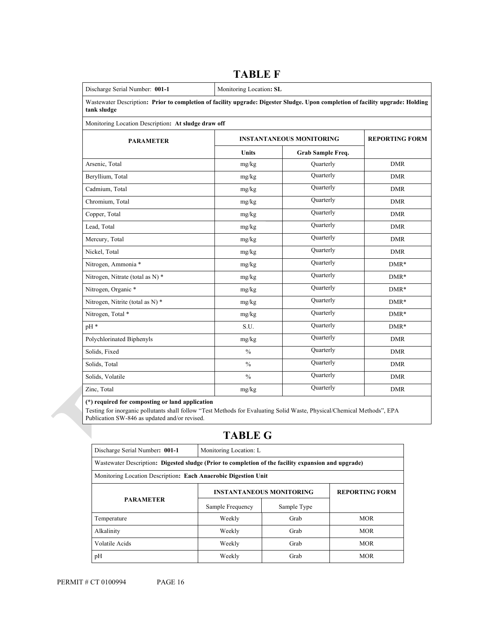| Discharge Serial Number: 001-1                                                                                                                |               | Monitoring Location: SL         |                       |  |  |  |
|-----------------------------------------------------------------------------------------------------------------------------------------------|---------------|---------------------------------|-----------------------|--|--|--|
| Wastewater Description: Prior to completion of facility upgrade: Digester Sludge. Upon completion of facility upgrade: Holding<br>tank sludge |               |                                 |                       |  |  |  |
| Monitoring Location Description: At sludge draw off                                                                                           |               |                                 |                       |  |  |  |
| <b>PARAMETER</b>                                                                                                                              |               | <b>INSTANTANEOUS MONITORING</b> | <b>REPORTING FORM</b> |  |  |  |
|                                                                                                                                               | Units         | Grab Sample Freq.               |                       |  |  |  |
| Arsenic, Total                                                                                                                                | mg/kg         | Quarterly                       | <b>DMR</b>            |  |  |  |
| Beryllium, Total                                                                                                                              | mg/kg         | Quarterly                       | <b>DMR</b>            |  |  |  |
| Cadmium, Total                                                                                                                                | mg/kg         | Quarterly                       | <b>DMR</b>            |  |  |  |
| Chromium, Total                                                                                                                               | mg/kg         | Quarterly                       | <b>DMR</b>            |  |  |  |
| Copper, Total                                                                                                                                 | mg/kg         | Quarterly                       | <b>DMR</b>            |  |  |  |
| Lead, Total                                                                                                                                   | mg/kg         | Quarterly                       | <b>DMR</b>            |  |  |  |
| Mercury, Total                                                                                                                                | mg/kg         | Quarterly                       | <b>DMR</b>            |  |  |  |
| Nickel, Total                                                                                                                                 | mg/kg         | Quarterly                       | <b>DMR</b>            |  |  |  |
| Nitrogen, Ammonia *                                                                                                                           | mg/kg         | Quarterly                       | $DMR*$                |  |  |  |
| Nitrogen, Nitrate (total as N) *                                                                                                              | mg/kg         | Quarterly                       | $DMR*$                |  |  |  |
| Nitrogen, Organic *                                                                                                                           | mg/kg         | Quarterly                       | $DMR*$                |  |  |  |
| Nitrogen, Nitrite (total as N) *                                                                                                              | mg/kg         | Quarterly                       | $DMR*$                |  |  |  |
| Nitrogen, Total *                                                                                                                             | mg/kg         | Quarterly                       | $DMR*$                |  |  |  |
| pH *                                                                                                                                          | S.U.          | Quarterly                       | $DMR*$                |  |  |  |
| Polychlorinated Biphenyls                                                                                                                     | mg/kg         | Quarterly                       | <b>DMR</b>            |  |  |  |
| Solids, Fixed                                                                                                                                 | $\frac{0}{0}$ | Quarterly                       | <b>DMR</b>            |  |  |  |
| Solids, Total                                                                                                                                 | $\frac{0}{0}$ | Quarterly                       | <b>DMR</b>            |  |  |  |
| Solids, Volatile                                                                                                                              | $\frac{0}{0}$ | Quarterly                       | <b>DMR</b>            |  |  |  |
| Zinc, Total                                                                                                                                   | mg/kg         | Quarterly                       | <b>DMR</b>            |  |  |  |

## **TABLE F**

**(\*) required for composting or land application** 

Testing for inorganic pollutants shall follow "Test Methods for Evaluating Solid Waste, Physical/Chemical Methods", EPA Publication SW-846 as updated and/or revised. 

## **TABLE G**

| Discharge Serial Number: 001-1                                                                      | Monitoring Location: L          |                       |            |  |  |
|-----------------------------------------------------------------------------------------------------|---------------------------------|-----------------------|------------|--|--|
| Wastewater Description: Digested sludge (Prior to completion of the facility expansion and upgrade) |                                 |                       |            |  |  |
| Monitoring Location Description: Each Anaerobic Digestion Unit                                      |                                 |                       |            |  |  |
|                                                                                                     | <b>INSTANTANEOUS MONITORING</b> | <b>REPORTING FORM</b> |            |  |  |
| <b>PARAMETER</b>                                                                                    | Sample Frequency<br>Sample Type |                       |            |  |  |
| Temperature                                                                                         | Weekly                          | Grab                  | <b>MOR</b> |  |  |
| Alkalinity                                                                                          | Weekly                          | Grab                  | <b>MOR</b> |  |  |
| Volatile Acids                                                                                      | Weekly                          | Grab                  | <b>MOR</b> |  |  |
| pH                                                                                                  | Weekly                          | Grab                  | <b>MOR</b> |  |  |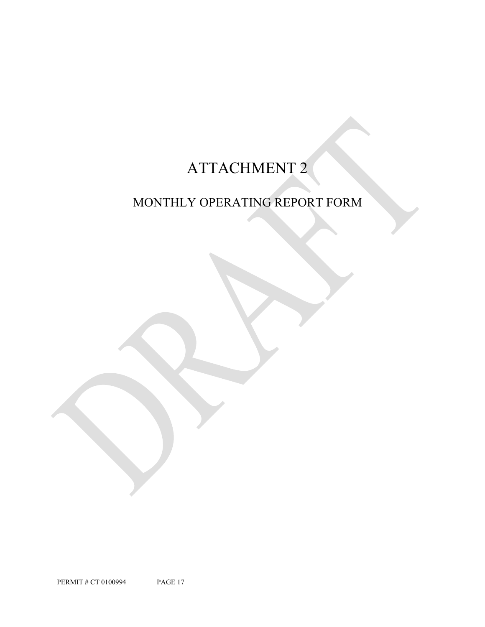# ATTACHMENT 2

## MONTHLY OPERATING REPORT FORM

PERMIT # CT 0100994 PAGE 17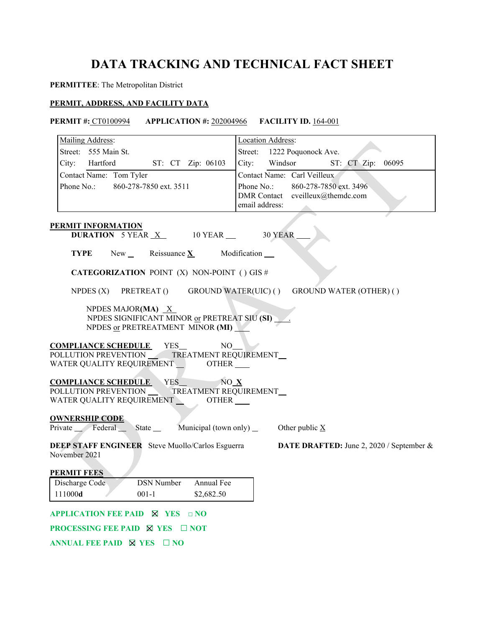## **DATA TRACKING AND TECHNICAL FACT SHEET**

### **PERMITTEE**: The Metropolitan District

### **PERMIT, ADDRESS, AND FACILITY DATA**

### **PERMIT #:** CT0100994 **APPLICATION #:** 202004966 **FACILITY ID.** 164-001

| Mailing Address:                                                                                                                                 | Location Address:                                                                          |
|--------------------------------------------------------------------------------------------------------------------------------------------------|--------------------------------------------------------------------------------------------|
| Street: 555 Main St.                                                                                                                             | Street: 1222 Poquonock Ave.                                                                |
| City: Hartford<br>ST: CT Zip: 06103                                                                                                              | Windsor<br>City:<br>ST: CT Zip: 06095                                                      |
| Contact Name: Tom Tyler                                                                                                                          | Contact Name: Carl Veilleux                                                                |
| Phone No.:<br>860-278-7850 ext. 3511                                                                                                             | Phone No.:<br>860-278-7850 ext. 3496<br>DMR Contact cveilleux@themdc.com<br>email address: |
| <b>PERMIT INFORMATION</b>                                                                                                                        |                                                                                            |
| <b>DURATION</b> 5 YEAR $X$ 10 YEAR $\overline{\phantom{1}}$                                                                                      | 30 YEAR                                                                                    |
| TYPE<br>New $\angle$ Reissuance X                                                                                                                | Modification __                                                                            |
| <b>CATEGORIZATION POINT (X) NON-POINT () GIS #</b>                                                                                               |                                                                                            |
| NPDES $(X)$<br>PRETREAT ()                                                                                                                       | GROUND WATER(UIC) () GROUND WATER (OTHER) ()                                               |
| NPDES MAJOR(MA) $X$<br>NPDES SIGNIFICANT MINOR or PRETREAT SIU (SI)<br>NPDES or PRETREATMENT MINOR (MI)                                          |                                                                                            |
| <b>COMPLIANCE SCHEDULE</b><br>YES_<br>NO<br>POLLUTION PREVENTION _____ TREATMENT REQUIREMENT<br>WATER QUALITY REQUIREMENT ___________OTHER _____ |                                                                                            |
| <b>COMPLIANCE SCHEDULE</b> YES<br>NO X<br>POLLUTION PREVENTION TREATMENT REQUIREMENT<br>WATER QUALITY REQUIREMENT _______OTHER _____             |                                                                                            |
| <b>OWNERSHIP CODE</b><br>Private Federal State Municipal (town only)                                                                             | Other public $\underline{X}$                                                               |
| <b>DEEP STAFF ENGINEER</b> Steve Muollo/Carlos Esguerra<br>November 2021                                                                         | DATE DRAFTED: June 2, 2020 / September &                                                   |
| <b>PERMIT FEES</b>                                                                                                                               |                                                                                            |
| DSN Number<br>Annual Fee<br>Discharge Code<br>111000d<br>\$2,682.50<br>$001-1$                                                                   |                                                                                            |
| APPLICATION FEE PAID $\boxtimes$ YES $\Box$ NO                                                                                                   |                                                                                            |
| <b>PROCESSING FEE PAID <math>\boxtimes</math> YES <math>\Box</math> NOT</b>                                                                      |                                                                                            |
| ANNUAL FEE PAID $\boxtimes$ YES $\Box$ NO                                                                                                        |                                                                                            |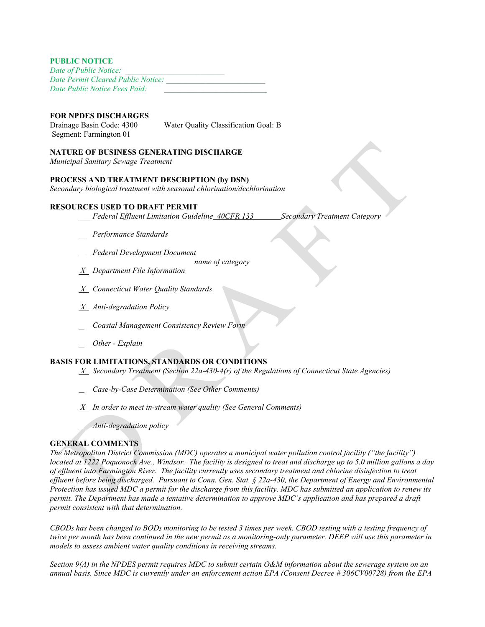### **PUBLIC NOTICE**

| Date of Public Notice:             |  |
|------------------------------------|--|
| Date Permit Cleared Public Notice: |  |
| Date Public Notice Fees Paid:      |  |

### **FOR NPDES DISCHARGES**

Segment: Farmington 01

Drainage Basin Code: 4300 Water Quality Classification Goal: B

### **NATURE OF BUSINESS GENERATING DISCHARGE**

*Municipal Sanitary Sewage Treatment*

### **PROCESS AND TREATMENT DESCRIPTION (by DSN)**

*Secondary biological treatment with seasonal chlorination/dechlorination*

### **RESOURCES USED TO DRAFT PERMIT**

- *\_\_\_ Federal Effluent Limitation Guideline 40CFR 133 Secondary Treatment Category*
- *\_\_ Performance Standards*
- *Federal Development Document* 
	- *name of category*
- *X Department File Information*
- *X Connecticut Water Quality Standards*
- *X Anti-degradation Policy*
- *Coastal Management Consistency Review Form*
- *Other Explain*

### **BASIS FOR LIMITATIONS, STANDARDS OR CONDITIONS**

- *X Secondary Treatment (Section 22a-430-4(r) of the Regulations of Connecticut State Agencies)*
- *Case-by-Case Determination (See Other Comments)*
- *X In order to meet in-stream water quality (See General Comments)*
- *Anti-degradation policy*

### **GENERAL COMMENTS**

*The Metropolitan District Commission (MDC) operates a municipal water pollution control facility ("the facility") located at 1222 Poquonock Ave., Windsor. The facility is designed to treat and discharge up to 5.0 million gallons a day of effluent into Farmington River. The facility currently uses secondary treatment and chlorine disinfection to treat effluent before being discharged. Pursuant to Conn. Gen. Stat. § 22a-430, the Department of Energy and Environmental Protection has issued MDC a permit for the discharge from this facility. MDC has submitted an application to renew its permit. The Department has made a tentative determination to approve MDC's application and has prepared a draft permit consistent with that determination.* 

*CBOD5 has been changed to BOD5 monitoring to be tested 3 times per week. CBOD testing with a testing frequency of twice per month has been continued in the new permit as a monitoring-only parameter. DEEP will use this parameter in models to assess ambient water quality conditions in receiving streams.* 

*Section 9(A) in the NPDES permit requires MDC to submit certain O&M information about the sewerage system on an annual basis. Since MDC is currently under an enforcement action EPA (Consent Decree # 306CV00728) from the EPA*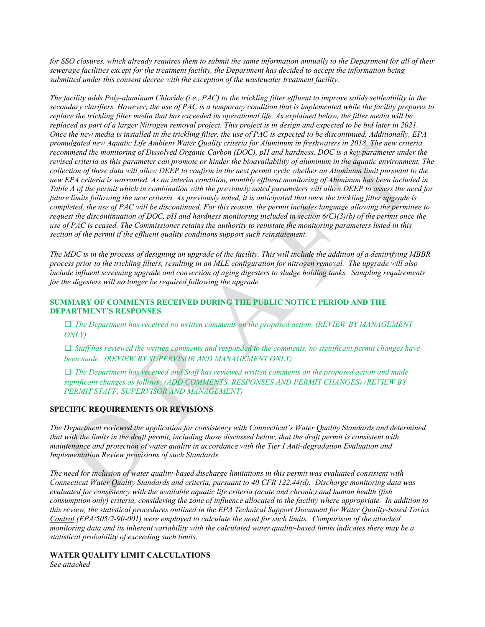*for SSO closures, which already requires them to submit the same information annually to the Department for all of their sewerage facilities except for the treatment facility, the Department has decided to accept the information being submitted under this consent decree with the exception of the wastewater treatment facility.* 

*The facility adds Poly-aluminum Chloride (i.e., PAC) to the trickling filter effluent to improve solids settleability in the secondary clarifiers. However, the use of PAC is a temporary condition that is implemented while the facility prepares to replace the trickling filter media that has exceeded its operational life. As explained below, the filter media will be replaced as part of a larger Nitrogen removal project. This project is in design and expected to be bid later in 2021. Once the new media is installed in the trickling filter, the use of PAC is expected to be discontinued. Additionally, EPA promulgated new Aquatic Life Ambient Water Quality criteria for Aluminum in freshwaters in 2018. The new criteria recommend the monitoring of Dissolved Organic Carbon (DOC), pH and hardness. DOC is a key parameter under the revised criteria as this parameter can promote or hinder the bioavailability of aluminum in the aquatic environment. The collection of these data will allow DEEP to confirm in the next permit cycle whether an Aluminum limit pursuant to the new EPA criteria is warranted. As an interim condition, monthly effluent monitoring of Aluminum has been included in Table A of the permit which in combination with the previously noted parameters will allow DEEP to assess the need for future limits following the new criteria. As previously noted, it is anticipated that once the trickling filter upgrade is completed, the use of PAC will be discontinued. For this reason, the permit includes language allowing the permittee to request the discontinuation of DOC, pH and hardness monitoring included in section 6(C)(3)(b) of the permit once the use of PAC is ceased. The Commissioner retains the authority to reinstate the monitoring parameters listed in this section of the permit if the effluent quality conditions support such reinstatement.* 

*The MDC is in the process of designing an upgrade of the facility. This will include the addition of a denitrifying MBBR process prior to the trickling filters, resulting in an MLE configuration for nitrogen removal. The upgrade will also include influent screening upgrade and conversion of aging digesters to sludge holding tanks. Sampling requirements for the digesters will no longer be required following the upgrade.* 

### **SUMMARY OF COMMENTS RECEIVED DURING THE PUBLIC NOTICE PERIOD AND THE DEPARTMENT'S RESPONSES**

**□** *The Department has received no written comments on the proposed action. (REVIEW BY MANAGEMENT ONLY)*

**□** *Staff has reviewed the written comments and responded to the comments, no significant permit changes have been made. (REVIEW BY SUPERVISOR AND MANAGEMENT ONLY)*

**□** *The Department has received and Staff has reviewed written comments on the proposed action and made significant changes as follows: (ADD COMMENTS, RESPONSES AND PERMIT CHANGES) (REVIEW BY PERMIT STAFF, SUPERVISOR AND MANAGEMENT)*

### **SPECIFIC REQUIREMENTS OR REVISIONS**

*The Department reviewed the application for consistency with Connecticut's Water Quality Standards and determined that with the limits in the draft permit, including those discussed below, that the draft permit is consistent with maintenance and protection of water quality in accordance with the Tier I Anti-degradation Evaluation and Implementation Review provisions of such Standards.*

*The need for inclusion of water quality-based discharge limitations in this permit was evaluated consistent with Connecticut Water Quality Standards and criteria, pursuant to 40 CFR 122.44(d). Discharge monitoring data was evaluated for consistency with the available aquatic life criteria (acute and chronic) and human health (fish consumption only) criteria, considering the zone of influence allocated to the facility where appropriate. In addition to this review, the statistical procedures outlined in the EPA Technical Support Document for Water Quality-based Toxics Control (EPA/505/2-90-001) were employed to calculate the need for such limits. Comparison of the attached monitoring data and its inherent variability with the calculated water quality-based limits indicates there may be a statistical probability of exceeding such limits.* 

## **WATER QUALITY LIMIT CALCULATIONS**

*See attached*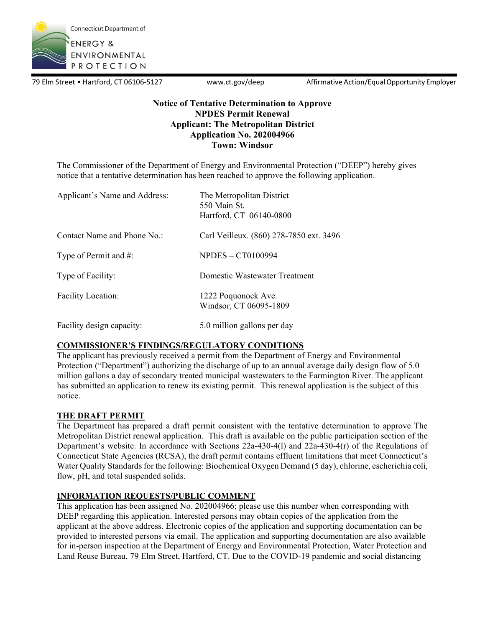

79 Elm Street • Hartford, CT 06106-5127 www.ct.gov/deep Affirmative Action/Equal Opportunity Employer

## **Notice of Tentative Determination to Approve NPDES Permit Renewal Applicant: The Metropolitan District Application No. 202004966 Town: Windsor**

The Commissioner of the Department of Energy and Environmental Protection ("DEEP") hereby gives notice that a tentative determination has been reached to approve the following application.

| Applicant's Name and Address: | The Metropolitan District<br>550 Main St.<br>Hartford, CT 06140-0800 |
|-------------------------------|----------------------------------------------------------------------|
| Contact Name and Phone No.:   | Carl Veilleux. (860) 278-7850 ext. 3496                              |
| Type of Permit and $#$ :      | <b>NPDES - CT0100994</b>                                             |
| Type of Facility:             | Domestic Wastewater Treatment                                        |
| <b>Facility Location:</b>     | 1222 Poquonock Ave.<br>Windsor, CT 06095-1809                        |
| Facility design capacity:     | 5.0 million gallons per day                                          |

### **COMMISSIONER'S FINDINGS/REGULATORY CONDITIONS**

The applicant has previously received a permit from the Department of Energy and Environmental Protection ("Department") authorizing the discharge of up to an annual average daily design flow of 5.0 million gallons a day of secondary treated municipal wastewaters to the Farmington River. The applicant has submitted an application to renew its existing permit. This renewal application is the subject of this notice.

### **THE DRAFT PERMIT**

The Department has prepared a draft permit consistent with the tentative determination to approve The Metropolitan District renewal application. This draft is available on the public participation section of the Department's website. In accordance with Sections 22a-430-4(l) and 22a-430-4(r) of the Regulations of Connecticut State Agencies (RCSA), the draft permit contains effluent limitations that meet Connecticut's Water Quality Standards for the following: Biochemical Oxygen Demand (5 day), chlorine, escherichia coli, flow, pH, and total suspended solids.

### **INFORMATION REQUESTS/PUBLIC COMMENT**

This application has been assigned No. 202004966; please use this number when corresponding with DEEP regarding this application. Interested persons may obtain copies of the application from the applicant at the above address. Electronic copies of the application and supporting documentation can be provided to interested persons via email. The application and supporting documentation are also available for in-person inspection at the Department of Energy and Environmental Protection, Water Protection and Land Reuse Bureau, 79 Elm Street, Hartford, CT. Due to the COVID-19 pandemic and social distancing